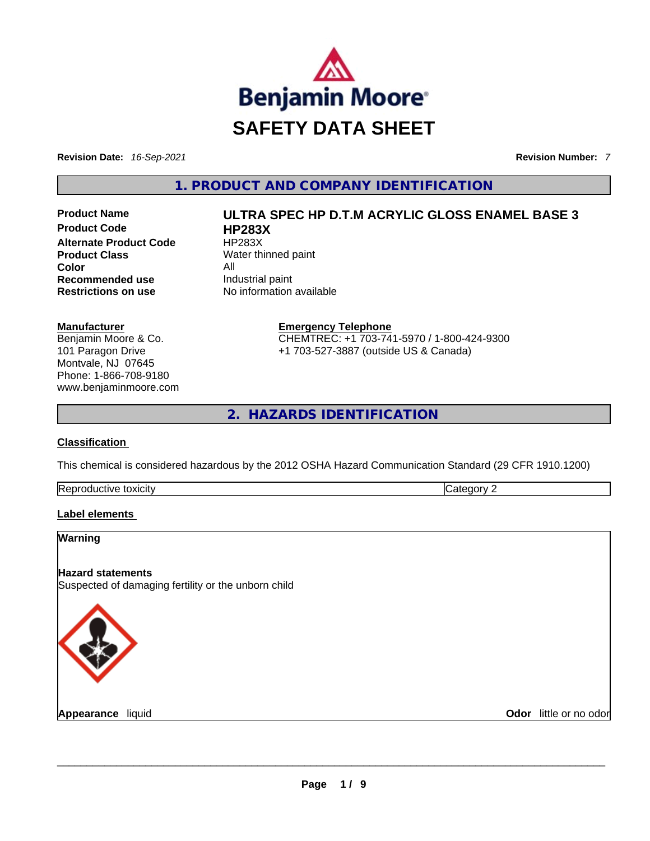

**Revision Date:** *16-Sep-2021* **Revision Number:** *7*

**1. PRODUCT AND COMPANY IDENTIFICATION** 

**Product Code HP283X Alternate Product Code HP283X Product Class** Water thinned paint **Color** All **Recommended use Industrial paint Restrictions on use** No information available

#### **Manufacturer**

Benjamin Moore & Co. 101 Paragon Drive Montvale, NJ 07645 Phone: 1-866-708-9180 www.benjaminmoore.com

**Product Name ULTRA SPEC HP D.T.M ACRYLIC GLOSS ENAMEL BASE 3** 

**Emergency Telephone** CHEMTREC: +1 703-741-5970 / 1-800-424-9300 +1 703-527-3887 (outside US & Canada)

**2. HAZARDS IDENTIFICATION** 

### **Classification**

This chemical is considered hazardous by the 2012 OSHA Hazard Communication Standard (29 CFR 1910.1200)

| Repro<br>toxicity<br>uuctive ** | . . |
|---------------------------------|-----|
|                                 |     |

## **Label elements**

### **Warning**

## **Hazard statements**

Suspected of damaging fertility or the unborn child



**Appearance** liquid \_\_\_\_\_\_\_\_\_\_\_\_\_\_\_\_\_\_\_\_\_\_\_\_\_\_\_\_\_\_\_\_\_\_\_\_\_\_\_\_\_\_\_\_\_\_\_\_\_\_\_\_\_\_\_\_\_\_\_\_\_\_\_\_\_\_\_\_\_\_\_\_\_\_\_\_\_\_\_\_\_\_\_\_\_\_\_\_\_\_\_\_\_ **Odor** little or no odor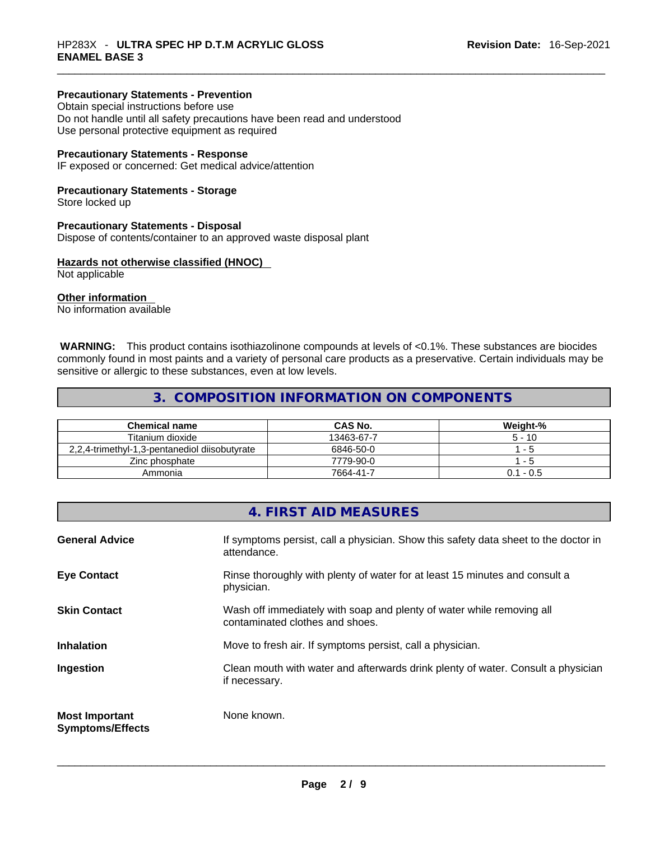## **Precautionary Statements - Prevention**

Obtain special instructions before use Do not handle until all safety precautions have been read and understood Use personal protective equipment as required

### **Precautionary Statements - Response**

IF exposed or concerned: Get medical advice/attention

## **Precautionary Statements - Storage**

Store locked up

### **Precautionary Statements - Disposal**

Dispose of contents/container to an approved waste disposal plant

## **Hazards not otherwise classified (HNOC)**

Not applicable

## **Other information**

No information available

 **WARNING:** This product contains isothiazolinone compounds at levels of <0.1%. These substances are biocides commonly found in most paints and a variety of personal care products as a preservative. Certain individuals may be sensitive or allergic to these substances, even at low levels.

## **3. COMPOSITION INFORMATION ON COMPONENTS**

| <b>Chemical name</b>                          | <b>CAS No.</b> | Weight-%    |
|-----------------------------------------------|----------------|-------------|
| Titanium dioxide                              | 13463-67-7     | $5 - 10$    |
| 2.2.4-trimethyl-1.3-pentanediol diisobutyrate | 6846-50-0      | - 5         |
| Zinc phosphate                                | 7779-90-0      | - 5         |
| Ammonia                                       | 7664-41-7      | $0.1 - 0.5$ |

|                                                  | 4. FIRST AID MEASURES                                                                                    |
|--------------------------------------------------|----------------------------------------------------------------------------------------------------------|
| <b>General Advice</b>                            | If symptoms persist, call a physician. Show this safety data sheet to the doctor in<br>attendance.       |
| <b>Eye Contact</b>                               | Rinse thoroughly with plenty of water for at least 15 minutes and consult a<br>physician.                |
| <b>Skin Contact</b>                              | Wash off immediately with soap and plenty of water while removing all<br>contaminated clothes and shoes. |
| <b>Inhalation</b>                                | Move to fresh air. If symptoms persist, call a physician.                                                |
| Ingestion                                        | Clean mouth with water and afterwards drink plenty of water. Consult a physician<br>if necessary.        |
| <b>Most Important</b><br><b>Symptoms/Effects</b> | None known.                                                                                              |
|                                                  |                                                                                                          |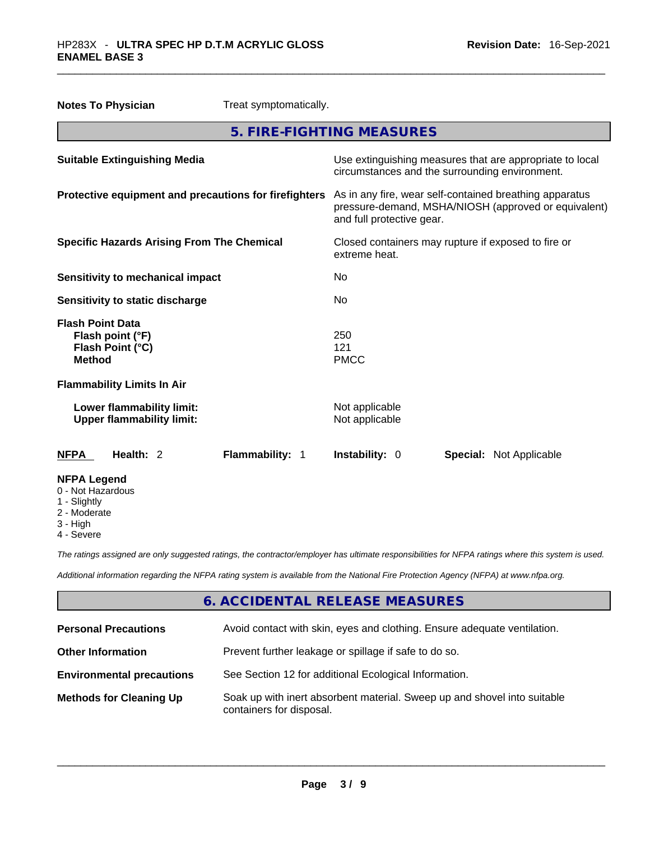| <b>Notes To Physician</b>                                                        | Treat symptomatically. |                                  |                                                                                                                 |
|----------------------------------------------------------------------------------|------------------------|----------------------------------|-----------------------------------------------------------------------------------------------------------------|
|                                                                                  |                        | 5. FIRE-FIGHTING MEASURES        |                                                                                                                 |
| <b>Suitable Extinguishing Media</b>                                              |                        |                                  | Use extinguishing measures that are appropriate to local<br>circumstances and the surrounding environment.      |
| Protective equipment and precautions for firefighters                            |                        | and full protective gear.        | As in any fire, wear self-contained breathing apparatus<br>pressure-demand, MSHA/NIOSH (approved or equivalent) |
| <b>Specific Hazards Arising From The Chemical</b>                                |                        | extreme heat.                    | Closed containers may rupture if exposed to fire or                                                             |
| <b>Sensitivity to mechanical impact</b>                                          |                        | No.                              |                                                                                                                 |
| Sensitivity to static discharge                                                  |                        | No                               |                                                                                                                 |
| <b>Flash Point Data</b><br>Flash point (°F)<br>Flash Point (°C)<br><b>Method</b> |                        | 250<br>121<br><b>PMCC</b>        |                                                                                                                 |
| <b>Flammability Limits In Air</b>                                                |                        |                                  |                                                                                                                 |
| Lower flammability limit:<br><b>Upper flammability limit:</b>                    |                        | Not applicable<br>Not applicable |                                                                                                                 |
| Health: 2<br><b>NFPA</b>                                                         | Flammability: 1        | Instability: 0                   | <b>Special: Not Applicable</b>                                                                                  |
| <b>NFPA Legend</b><br>0 - Not Hazardous<br>1 - Slightly<br>2 - Moderate          |                        |                                  |                                                                                                                 |

- 3 High
- 4 Severe

*The ratings assigned are only suggested ratings, the contractor/employer has ultimate responsibilities for NFPA ratings where this system is used.* 

*Additional information regarding the NFPA rating system is available from the National Fire Protection Agency (NFPA) at www.nfpa.org.* 

# **6. ACCIDENTAL RELEASE MEASURES**

| <b>Personal Precautions</b>      | Avoid contact with skin, eyes and clothing. Ensure adequate ventilation.                             |
|----------------------------------|------------------------------------------------------------------------------------------------------|
| <b>Other Information</b>         | Prevent further leakage or spillage if safe to do so.                                                |
| <b>Environmental precautions</b> | See Section 12 for additional Ecological Information.                                                |
| <b>Methods for Cleaning Up</b>   | Soak up with inert absorbent material. Sweep up and shovel into suitable<br>containers for disposal. |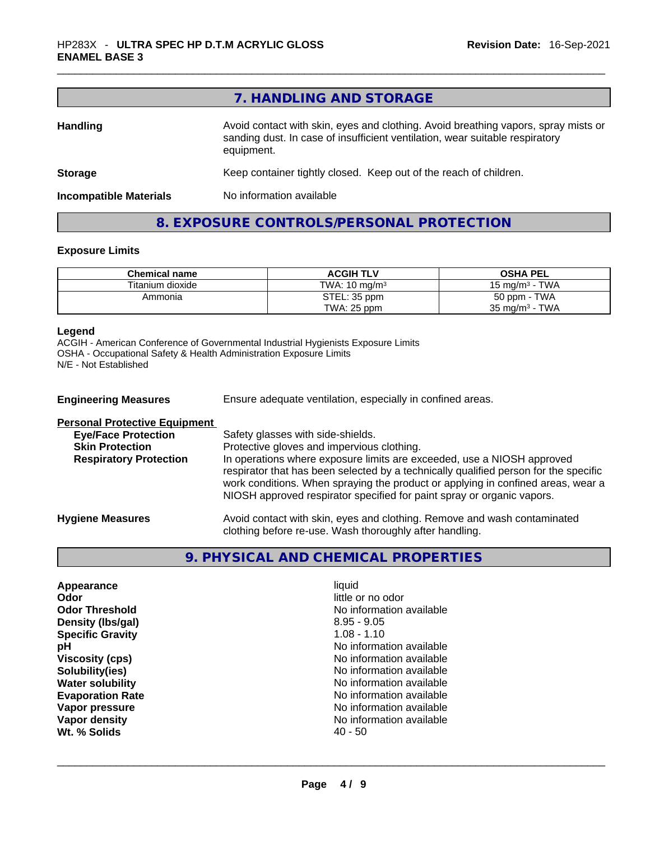|                               | 7. HANDLING AND STORAGE                                                                                                                                                          |
|-------------------------------|----------------------------------------------------------------------------------------------------------------------------------------------------------------------------------|
| <b>Handling</b>               | Avoid contact with skin, eyes and clothing. Avoid breathing vapors, spray mists or<br>sanding dust. In case of insufficient ventilation, wear suitable respiratory<br>equipment. |
| <b>Storage</b>                | Keep container tightly closed. Keep out of the reach of children.                                                                                                                |
| <b>Incompatible Materials</b> | No information available                                                                                                                                                         |

# **8. EXPOSURE CONTROLS/PERSONAL PROTECTION**

## **Exposure Limits**

| <b>Chemical name</b> | <b>ACGIH TLV</b>         | <b>OSHA PEL</b>           |
|----------------------|--------------------------|---------------------------|
| Titanium dioxide     | TWA: $10 \text{ ma/m}^3$ | 15 mg/m $3$ - TWA         |
| Ammonia              | STEL: 35 ppm             | 50 ppm - TWA              |
|                      | TWA: 25 ppm              | $35 \text{ mg/m}^3$ - TWA |

#### **Legend**

ACGIH - American Conference of Governmental Industrial Hygienists Exposure Limits OSHA - Occupational Safety & Health Administration Exposure Limits N/E - Not Established

| <b>Engineering Measures</b>                                                                                                   | Ensure adequate ventilation, especially in confined areas.                                                                                                                                                                                                                                                                                                                                                      |
|-------------------------------------------------------------------------------------------------------------------------------|-----------------------------------------------------------------------------------------------------------------------------------------------------------------------------------------------------------------------------------------------------------------------------------------------------------------------------------------------------------------------------------------------------------------|
| <b>Personal Protective Equipment</b><br><b>Eye/Face Protection</b><br><b>Skin Protection</b><br><b>Respiratory Protection</b> | Safety glasses with side-shields.<br>Protective gloves and impervious clothing.<br>In operations where exposure limits are exceeded, use a NIOSH approved<br>respirator that has been selected by a technically qualified person for the specific<br>work conditions. When spraying the product or applying in confined areas, wear a<br>NIOSH approved respirator specified for paint spray or organic vapors. |
| <b>Hygiene Measures</b>                                                                                                       | Avoid contact with skin, eyes and clothing. Remove and wash contaminated<br>clothing before re-use. Wash thoroughly after handling.                                                                                                                                                                                                                                                                             |

# **9. PHYSICAL AND CHEMICAL PROPERTIES**

| Appearance                                   | liquid            |
|----------------------------------------------|-------------------|
| Odor                                         | little or no odor |
| <b>Odor Threshold</b>                        | No information av |
| Density (Ibs/gal)                            | $8.95 - 9.05$     |
| <b>Specific Gravity</b>                      | $1.08 - 1.10$     |
| рH                                           | No information av |
| <b>Viscosity (cps)</b>                       | No information av |
| Solubility(ies)                              | No information av |
| No information av<br><b>Water solubility</b> |                   |
| <b>Evaporation Rate</b>                      | No information av |
| Vapor pressure                               | No information av |
| Vapor density                                | No information av |
| Wt. % Solids                                 | 40 - 50           |

**Odor** little or no odor **No information available Density (lbs/gal)** 8.95 - 9.05 **Specific Gravity** 1.08 - 1.10 **No information available Viscosity (cps)** No information available No information available **No information available Evaporation Rate** No information available **No information available No information available 40 - 50 Wt. % Solids** 40 - 50 \_\_\_\_\_\_\_\_\_\_\_\_\_\_\_\_\_\_\_\_\_\_\_\_\_\_\_\_\_\_\_\_\_\_\_\_\_\_\_\_\_\_\_\_\_\_\_\_\_\_\_\_\_\_\_\_\_\_\_\_\_\_\_\_\_\_\_\_\_\_\_\_\_\_\_\_\_\_\_\_\_\_\_\_\_\_\_\_\_\_\_\_\_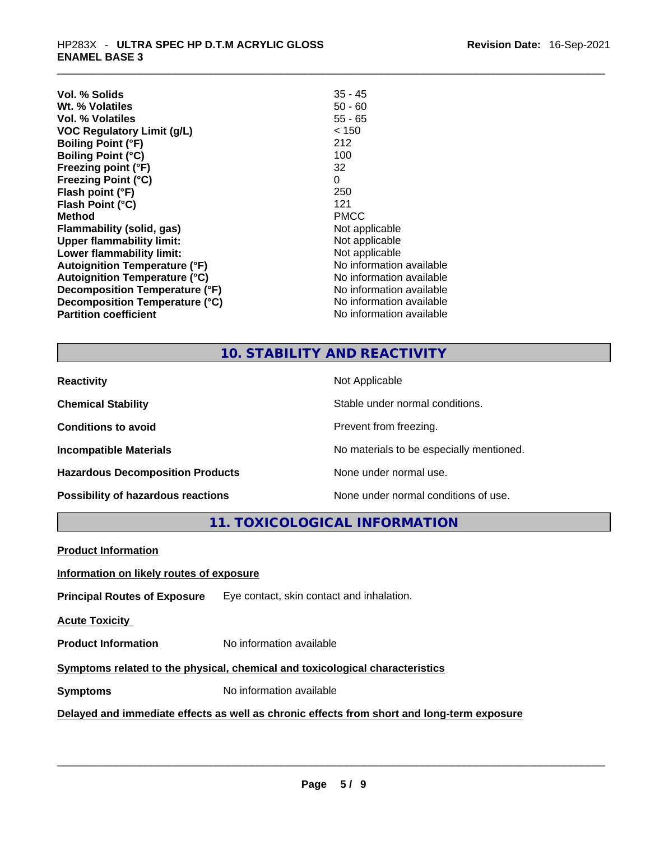| Vol. % Solids                        | $35 - 45$                |
|--------------------------------------|--------------------------|
| Wt. % Volatiles                      | $50 - 60$                |
| Vol. % Volatiles                     | $55 - 65$                |
| <b>VOC Regulatory Limit (g/L)</b>    | < 150                    |
| <b>Boiling Point (°F)</b>            | 212                      |
| <b>Boiling Point (°C)</b>            | 100                      |
| Freezing point (°F)                  | 32                       |
| <b>Freezing Point (°C)</b>           | 0                        |
| Flash point (°F)                     | 250                      |
| Flash Point (°C)                     | 121                      |
| Method                               | <b>PMCC</b>              |
| <b>Flammability (solid, gas)</b>     | Not applicable           |
| <b>Upper flammability limit:</b>     | Not applicable           |
| Lower flammability limit:            | Not applicable           |
| <b>Autoignition Temperature (°F)</b> | No information available |
| <b>Autoignition Temperature (°C)</b> | No information available |
| Decomposition Temperature (°F)       | No information available |
| Decomposition Temperature (°C)       | No information available |
| <b>Partition coefficient</b>         | No information available |

# **10. STABILITY AND REACTIVITY**

| <b>Reactivity</b>                       | Not Applicable                           |
|-----------------------------------------|------------------------------------------|
| <b>Chemical Stability</b>               | Stable under normal conditions.          |
| <b>Conditions to avoid</b>              | Prevent from freezing.                   |
| <b>Incompatible Materials</b>           | No materials to be especially mentioned. |
| <b>Hazardous Decomposition Products</b> | None under normal use.                   |
| Possibility of hazardous reactions      | None under normal conditions of use.     |

**11. TOXICOLOGICAL INFORMATION** 

| <b>Product Information</b>                                                                 |                                           |  |
|--------------------------------------------------------------------------------------------|-------------------------------------------|--|
| Information on likely routes of exposure                                                   |                                           |  |
| <b>Principal Routes of Exposure</b>                                                        | Eye contact, skin contact and inhalation. |  |
| <b>Acute Toxicity</b>                                                                      |                                           |  |
| <b>Product Information</b>                                                                 | No information available                  |  |
| Symptoms related to the physical, chemical and toxicological characteristics               |                                           |  |
| <b>Symptoms</b>                                                                            | No information available                  |  |
| Delayed and immediate effects as well as chronic effects from short and long-term exposure |                                           |  |
|                                                                                            |                                           |  |
|                                                                                            |                                           |  |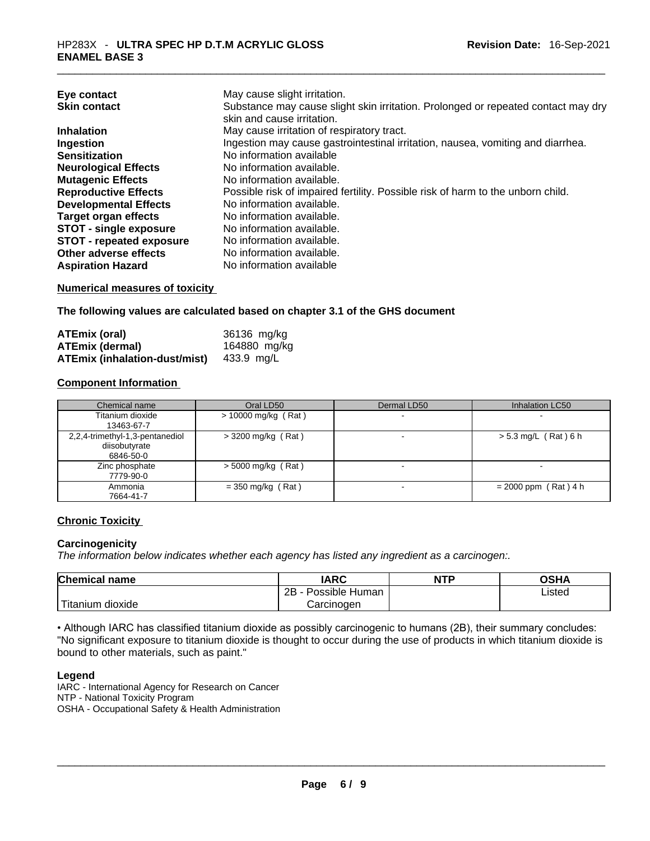| Substance may cause slight skin irritation. Prolonged or repeated contact may dry |
|-----------------------------------------------------------------------------------|
|                                                                                   |
|                                                                                   |
|                                                                                   |
|                                                                                   |
|                                                                                   |
|                                                                                   |
|                                                                                   |
|                                                                                   |
|                                                                                   |
|                                                                                   |
|                                                                                   |
|                                                                                   |
|                                                                                   |
|                                                                                   |

#### **Numerical measures of toxicity**

**The following values are calculated based on chapter 3.1 of the GHS document**

| <b>ATEmix (oral)</b>          | 36136 mg/kg  |
|-------------------------------|--------------|
| <b>ATEmix (dermal)</b>        | 164880 mg/kg |
| ATEmix (inhalation-dust/mist) | 433.9 mg/L   |

### **Component Information**

| Chemical name                                                 | Oral LD50             | Dermal LD50              | Inhalation LC50        |
|---------------------------------------------------------------|-----------------------|--------------------------|------------------------|
| Titanium dioxide<br>13463-67-7                                | $> 10000$ mg/kg (Rat) |                          |                        |
| 2,2,4-trimethyl-1,3-pentanediol<br>diisobutyrate<br>6846-50-0 | $>$ 3200 mg/kg (Rat)  | $\overline{\phantom{0}}$ | $> 5.3$ mg/L (Rat) 6 h |
| Zinc phosphate<br>7779-90-0                                   | $>$ 5000 mg/kg (Rat)  |                          |                        |
| Ammonia<br>7664-41-7                                          | $=$ 350 mg/kg (Rat)   |                          | $= 2000$ ppm (Rat) 4 h |

## **Chronic Toxicity**

### **Carcinogenicity**

*The information below indicates whether each agency has listed any ingredient as a carcinogen:.* 

| <b>Chemical name</b>    | IARC                 | <b>NTP</b> | OSHA   |
|-------------------------|----------------------|------------|--------|
|                         | 2B<br>Possible Human |            | ∟isted |
| ' Titanium J<br>dioxide | Carcinogen           |            |        |

• Although IARC has classified titanium dioxide as possibly carcinogenic to humans (2B), their summary concludes: "No significant exposure to titanium dioxide is thought to occur during the use of products in which titanium dioxide is bound to other materials, such as paint."

#### **Legend**

IARC - International Agency for Research on Cancer NTP - National Toxicity Program OSHA - Occupational Safety & Health Administration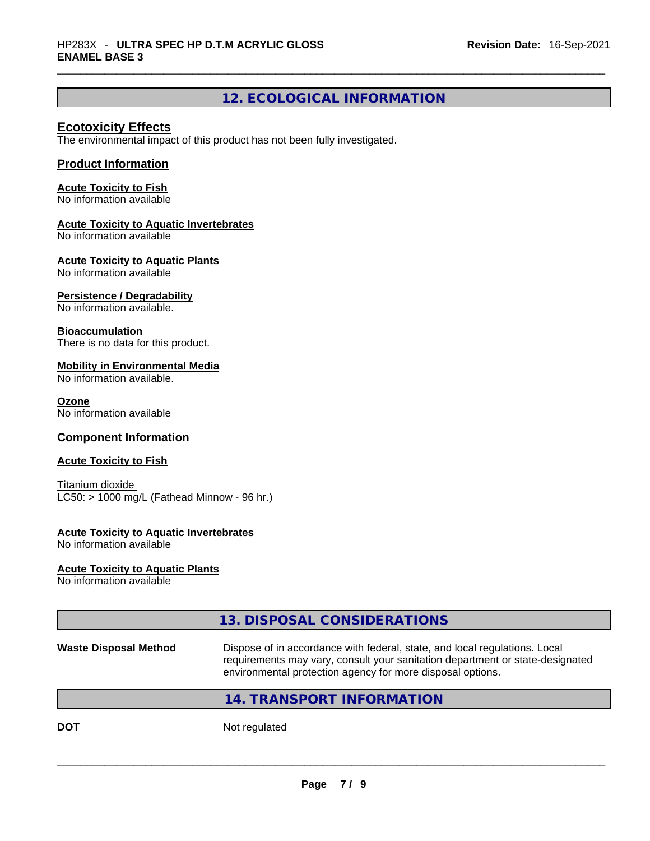# **12. ECOLOGICAL INFORMATION**

## **Ecotoxicity Effects**

The environmental impact of this product has not been fully investigated.

## **Product Information**

#### **Acute Toxicity to Fish**

No information available

#### **Acute Toxicity to Aquatic Invertebrates**

No information available

### **Acute Toxicity to Aquatic Plants**

No information available

### **Persistence / Degradability**

No information available.

### **Bioaccumulation**

There is no data for this product.

### **Mobility in Environmental Media**

No information available.

#### **Ozone**

No information available

## **Component Information**

### **Acute Toxicity to Fish**

Titanium dioxide  $LC50:$  > 1000 mg/L (Fathead Minnow - 96 hr.)

### **Acute Toxicity to Aquatic Invertebrates**

No information available

### **Acute Toxicity to Aquatic Plants**

No information available

## **13. DISPOSAL CONSIDERATIONS**

**Waste Disposal Method** Dispose of in accordance with federal, state, and local regulations. Local requirements may vary, consult your sanitation department or state-designated environmental protection agency for more disposal options.

## **14. TRANSPORT INFORMATION**

**DOT** Not regulated  $\blacksquare$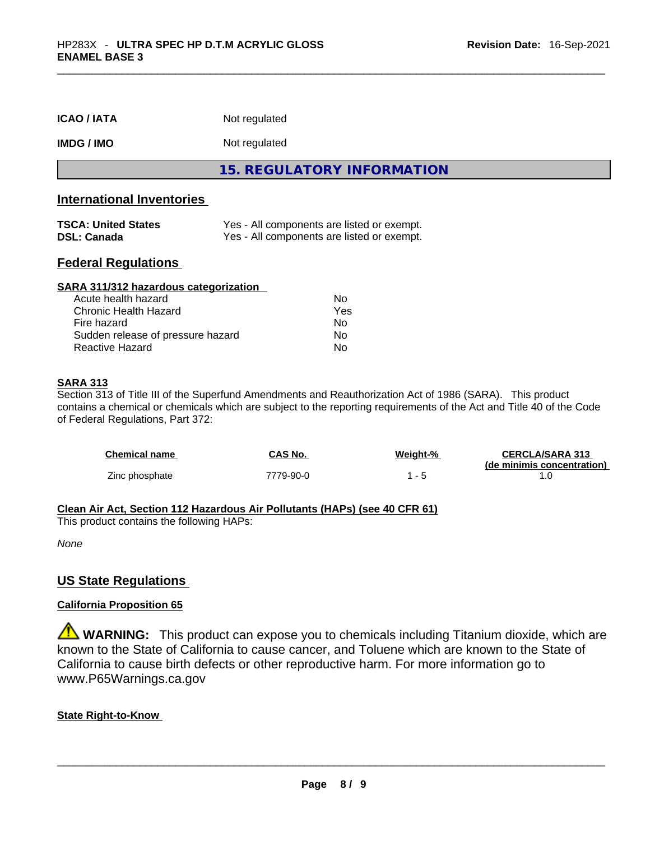| <b>ICAO/IATA</b>          | Not regulated              |
|---------------------------|----------------------------|
| <b>IMDG/IMO</b>           | Not regulated              |
|                           | 15. REGULATORY INFORMATION |
| International Inventories |                            |

## **International Inventories**

| <b>TSCA: United States</b> | Yes - All components are listed or exempt. |
|----------------------------|--------------------------------------------|
| <b>DSL: Canada</b>         | Yes - All components are listed or exempt. |

## **Federal Regulations**

| SARA 311/312 hazardous categorization |     |  |
|---------------------------------------|-----|--|
| Acute health hazard                   | Nο  |  |
| Chronic Health Hazard                 | Yes |  |
| Fire hazard                           | No  |  |
| Sudden release of pressure hazard     | Nο  |  |
| Reactive Hazard                       | No  |  |

### **SARA 313**

Section 313 of Title III of the Superfund Amendments and Reauthorization Act of 1986 (SARA). This product contains a chemical or chemicals which are subject to the reporting requirements of the Act and Title 40 of the Code of Federal Regulations, Part 372:

| Chemical name  | CAS No.   | Weight-% | <b>CERCLA/SARA 313</b><br>(de minimis concentration) |
|----------------|-----------|----------|------------------------------------------------------|
| Zinc phosphate | 7779-90-0 |          |                                                      |

## **Clean Air Act,Section 112 Hazardous Air Pollutants (HAPs) (see 40 CFR 61)**

This product contains the following HAPs:

*None*

## **US State Regulations**

## **California Proposition 65**

**WARNING:** This product can expose you to chemicals including Titanium dioxide, which are known to the State of California to cause cancer, and Toluene which are known to the State of California to cause birth defects or other reproductive harm. For more information go to www.P65Warnings.ca.gov

## **State Right-to-Know**